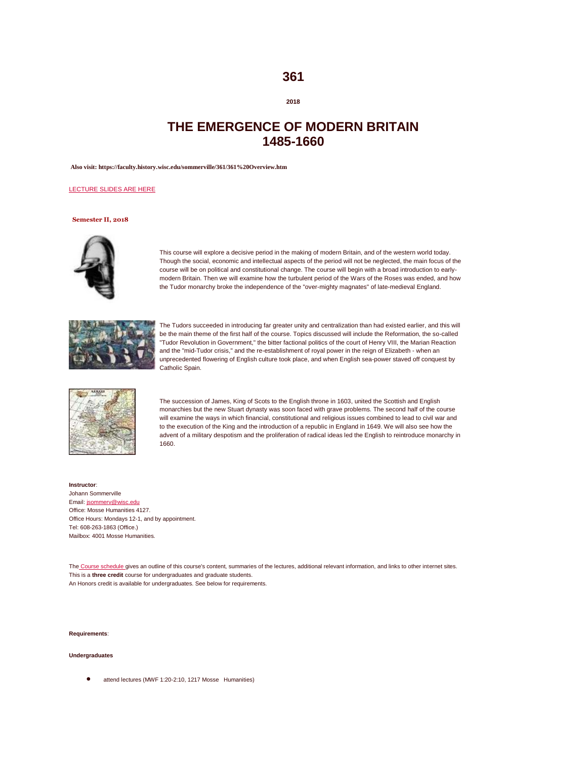## **361**

## **2018**

# **THE EMERGENCE OF MODERN BRITAIN 1485-1660**

**Also visit: https://faculty.history.wisc.edu/sommerville/361/361%20Overview.htm**

## [LECTURE SLIDES ARE HERE](https://faculty.history.wisc.edu/sommerville/361/documents/36113_Slides_Whole_Course.doc)

## **Semester II, 2018**



This course will explore a decisive period in the making of modern Britain, and of the western world today. Though the social, economic and intellectual aspects of the period will not be neglected, the main focus of the course will be on political and constitutional change. The course will begin with a broad introduction to earlymodern Britain. Then we will examine how the turbulent period of the Wars of the Roses was ended, and how the Tudor monarchy broke the independence of the "over-mighty magnates" of late-medieval England.



The Tudors succeeded in introducing far greater unity and centralization than had existed earlier, and this will be the main theme of the first half of the course. Topics discussed will include the Reformation, the so-called "Tudor Revolution in Government," the bitter factional politics of the court of Henry VIII, the Marian Reaction and the "mid-Tudor crisis," and the re-establishment of royal power in the reign of Elizabeth - when an unprecedented flowering of English culture took place, and when English sea-power staved off conquest by Catholic Spain.



The succession of James, King of Scots to the English throne in 1603, united the Scottish and English monarchies but the new Stuart dynasty was soon faced with grave problems. The second half of the course will examine the ways in which financial, constitutional and religious issues combined to lead to civil war and to the execution of the King and the introduction of a republic in England in 1649. We will also see how the advent of a military despotism and the proliferation of radical ideas led the English to reintroduce monarchy in 1660.

**Instructor**: Johann Sommerville Email[: jsommerv@wisc.edu](mailto:jsommerv@wisc.edu) Office: Mosse Humanities 4127. Office Hours: Mondays 12-1, and by appointment. Tel: 608-263-1863 (Office.) Mailbox: 4001 Mosse Humanities.

The [Course schedule g](http://history.wisc.edu/sommerville/361/361%20Overview.htm#SCHEDULE)ives an outline of this course's content, summaries of the lectures, additional relevant information, and links to other internet sites. This is a **three credit** course for undergraduates and graduate students. An Honors credit is available for undergraduates. See below for requirements.

#### **Requirements**:

#### **Undergraduates**

attend lectures (MWF 1:20-2:10, 1217 Mosse Humanities)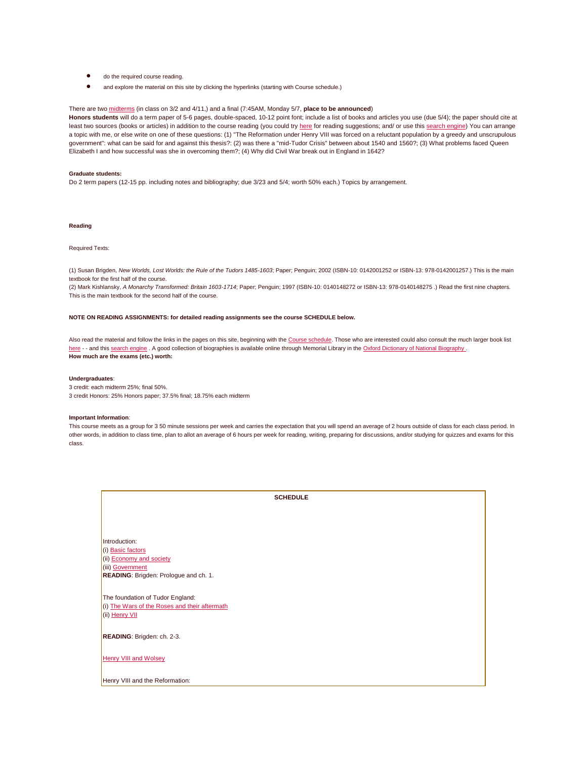- do the required course reading.
- and explore the material on this site by clicking the hyperlinks (starting with Course schedule.)

### There are two [midterms](http://faculty.history.wisc.edu/sommerville/Administrative/essays.htm#BlueBooks) (in class on 3/2 and 4/11,) and a final (7:45AM, Monday 5/7, **place to be announced**)

**Honors students** will do a term paper of 5-6 pages, double-spaced, 10-12 point font; include a list of books and articles you use (due 5/4); the paper should cite at least two sources (books or articles) in addition to the course reading (you could tr[y here](https://faculty.history.wisc.edu/sommerville/831/831%20General%20&%20Topics.htm) for reading suggestions; and/ or use thi[s search engine\)](http://www.rhs.ac.uk/bibl/bibwel.asp) You can arrange a topic with me, or else write on one of these questions: (1) "The Reformation under Henry VIII was forced on a reluctant population by a greedy and unscrupulous government": what can be said for and against this thesis?: (2) was there a "mid-Tudor Crisis" between about 1540 and 1560?; (3) What problems faced Queen Elizabeth I and how successful was she in overcoming them?; (4) Why did Civil War break out in England in 1642?

#### **Graduate students:**

Do 2 term papers (12-15 pp. including notes and bibliography; due 3/23 and 5/4; worth 50% each.) Topics by arrangement.

## **Reading**

### Required Texts:

(1) Susan Brigden, *New Worlds, Lost Worlds: the Rule of the Tudors 1485-1603*; Paper; Penguin; 2002 (ISBN-10: 0142001252 or ISBN-13: 978-0142001257.) This is the main textbook for the first half of the course.

(2) Mark Kishlansky, *A Monarchy Transformed: Britain 1603-1714*; Paper; Penguin; 1997 (ISBN-10: 0140148272 or ISBN-13: 978-0140148275 .) Read the first nine chapters. This is the main textbook for the second half of the course.

## **NOTE ON READING ASSIGNMENTS: for detailed reading assignments see the course SCHEDULE below.**

Also read the material and follow the links in the pages on this site, beginning with th[e Course schedule.](http://history.wisc.edu/sommerville/361/361%20Overview.htm#SCHEDULE) Those who are interested could also consult the much larger book list [here](http://faculty.history.wisc.edu/sommerville/831/831%20General%20&%20Topics.htm) - - and thi[s search engine](http://www.rhs.ac.uk/bibl/bibwel.asp) . A good collection of biographies is available online through Memorial Library in the Oxford Dictionary of National Biography . **How much are the exams (etc.) worth:** 

#### **Undergraduates**:

3 credit: each midterm 25%; final 50%. 3 credit Honors: 25% Honors paper; 37.5% final; 18.75% each midterm

#### **Important Information**:

This course meets as a group for 350 minute sessions per week and carries the expectation that you will spend an average of 2 hours outside of class for each class period. In other words, in addition to class time, plan to allot an average of 6 hours per week for reading, writing, preparing for discussions, and/or studying for quizzes and exams for this class.

| <b>SCHEDULE</b>                               |
|-----------------------------------------------|
|                                               |
|                                               |
|                                               |
|                                               |
| Introduction:                                 |
| (i) Basic factors                             |
| (ii) Economy and society                      |
| (iii) Government                              |
| READING: Brigden: Prologue and ch. 1.         |
|                                               |
| The foundation of Tudor England:              |
| (i) The Wars of the Roses and their aftermath |
| (ii) Henry VII                                |
|                                               |
|                                               |
| READING: Brigden: ch. 2-3.                    |
|                                               |
| <b>Henry VIII and Wolsey</b>                  |
|                                               |
|                                               |
| Henry VIII and the Reformation:               |
|                                               |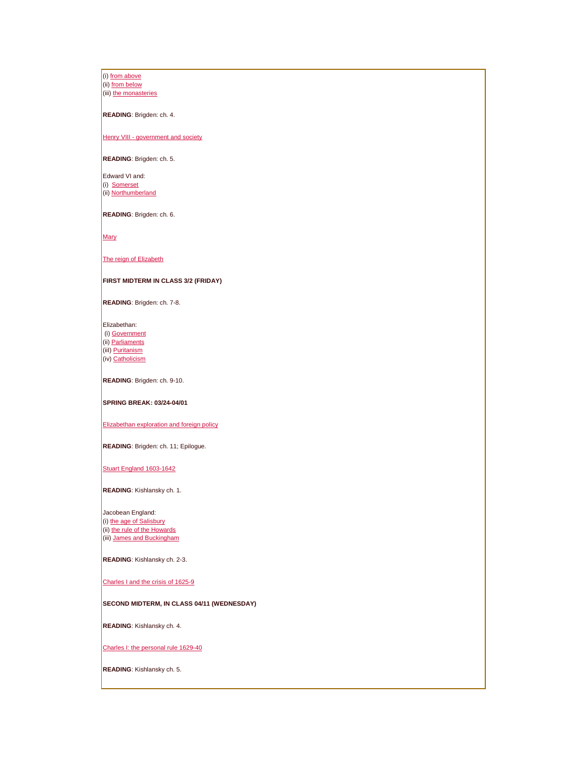(i[\) from above](http://faculty.history.wisc.edu/sommerville/361/361-07.htm) (ii[\) from below](http://faculty.history.wisc.edu/sommerville/361/361-08.htm) (iii[\) the monasteries](http://faculty.history.wisc.edu/sommerville/361/361-09.htm)

**READING**: Brigden: ch. 4.

Henry VIII - [government and society](http://faculty.history.wisc.edu/sommerville/361/361-10.htm)

**READING**: Brigden: ch. 5.

Edward VI and: (i) [Somerset](http://faculty.history.wisc.edu/sommerville/361/361-11.htm) (ii[\) Northumberland](http://faculty.history.wisc.edu/sommerville/361/361-12.htm)

**READING**: Brigden: ch. 6.

[Mary](http://faculty.history.wisc.edu/sommerville/361/361-13.htm)

[The reign of Elizabeth](http://faculty.history.wisc.edu/sommerville/361/361-14.htm)

## **FIRST MIDTERM IN CLASS 3/2 (FRIDAY)**

**READING**: Brigden: ch. 7-8.

Elizabethan:

(i[\) Government](http://faculty.history.wisc.edu/sommerville/361/361-15.htm) (ii[\) Parliaments](http://faculty.history.wisc.edu/sommerville/361/361-16.htm) (iiI[\) Puritanism](http://faculty.history.wisc.edu/sommerville/361/361-17.htm)

(iv[\) Catholicism](http://faculty.history.wisc.edu/sommerville/361/361-18.htm)

**READING**: Brigden: ch. 9-10.

**SPRING BREAK: 03/24-04/01**

[Elizabethan exploration and foreign policy](http://faculty.history.wisc.edu/sommerville/361/361-19.htm)

**READING**: Brigden: ch. 11; Epilogue.

[Stuart England 1603-1642](http://faculty.history.wisc.edu/sommerville/361/361-20.htm)

**READING**: Kishlansky ch. 1.

Jacobean England: (i[\) the age of Salisbury](http://faculty.history.wisc.edu/sommerville/361/361-21.htm)  $(ii)$  the rule of the Howards (iii) James and Buckingham

**READING**: Kishlansky ch. 2-3.

Charles I and the crisis of 1625-9

**SECOND MIDTERM, IN CLASS 04/11 (WEDNESDAY)** 

**READING**: Kishlansky ch. 4.

[Charles I: the personal rule 1629-40](http://faculty.history.wisc.edu/sommerville/361/361-25.htm)

**READING**: Kishlansky ch. 5.